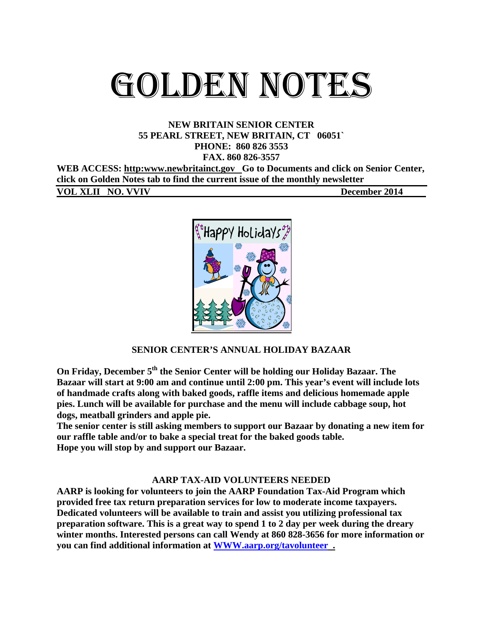# GOLDEN NOTES

## **NEW BRITAIN SENIOR CENTER 55 PEARL STREET, NEW BRITAIN, CT 06051` PHONE: 860 826 3553**

**FAX. 860 826-3557** 

WEB ACCESS: http:www.newbritainct.gov Go to Documents and click on Senior Center, **click on Golden Notes tab to find the current issue of the monthly newsletter** 

**VOL XLII NO. VVIV December 2014** 



## **SENIOR CENTER'S ANNUAL HOLIDAY BAZAAR**

**On Friday, December 5<sup>th</sup> the Senior Center will be holding our Holiday Bazaar. The Bazaar will start at 9:00 am and continue until 2:00 pm. This year's event will include lots of handmade crafts along with baked goods, raffle items and delicious homemade apple pies. Lunch will be available for purchase and the menu will include cabbage soup, hot dogs, meatball grinders and apple pie.** 

**The senior center is still asking members to support our Bazaar by donating a new item for our raffle table and/or to bake a special treat for the baked goods table. Hope you will stop by and support our Bazaar.** 

#### **AARP TAX-AID VOLUNTEERS NEEDED**

**AARP is looking for volunteers to join the AARP Foundation Tax-Aid Program which provided free tax return preparation services for low to moderate income taxpayers. Dedicated volunteers will be available to train and assist you utilizing professional tax preparation software. This is a great way to spend 1 to 2 day per week during the dreary winter months. Interested persons can call Wendy at 860 828-3656 for more information or you can find additional information at WWW.aarp.org/tavolunteer .**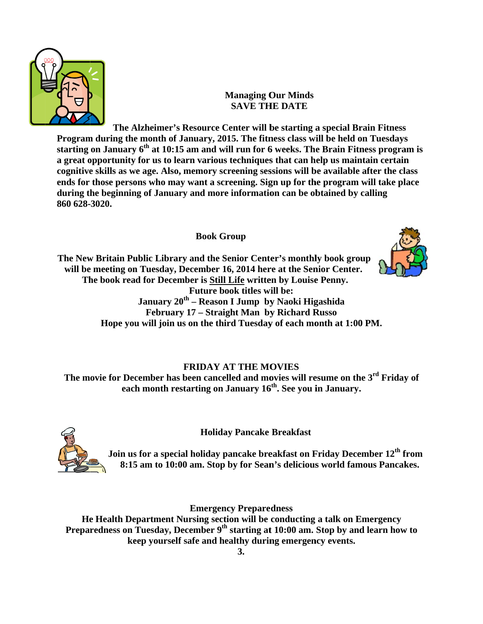

## **M Managing O Our Minds SAVE THE DATE**

Program during the month of January, 2015. The fitness class will be held on Tuesdays Program during the month of January, 2015. The fitness class will be held on Tuesdays<br>starting on January 6<sup>th</sup> at 10:15 am and will run for 6 weeks. The Brain Fitness program is **a** great opportunity for us to learn various techniques that can help us maintain certain a great opportunity for us to learn various techniques that can help us maintain certain<br>cognitive skills as we age. Also, memory screening sessions will be available after the class **ends for those persons who may want a screening. Sign up for the program will take place** during the beginning of January and more information can be obtained by calling **860 628- -3020. The A Alzheimer's Resource C Center will b be starting a a special Br rain Fitness**

## **Book G Group**

The New Britain Public Library and the Senior Center's monthly book group will be meeting on Tuesday, December 16, 2014 here at the Senior Center. The book read for December is **Still Life** written by Louise Penny. **Hook read for December is <u>Still Life</u> written by Louise Penny.<br>
Future book titles will be:<br>
January 20<sup>th</sup> – Reason I Jump by Naoki Higashida<br>
February 17 – Straight Man by Richard Russo<br>
<b>Hope you will join us on the t January 20 0th – Reason n I Jump by y Naoki Hig gashida**  February 17 – Straight Man by Richard Russo Future book titles will be:



## **FRIDAY A AT THE MO OVIES**

The movie for December has been cancelled and movies will resume on the 3<sup>rd</sup> Friday of **each h month res starting on January 16 6th. See you i in January.**



**Holida ay Pancake Breakfast**

**Join us s for a speci ial holiday p pancake bre eakfast on F Friday Dece .ember 12th f from**  8:15 am to 10:00 am. Stop by for Sean's delicious world famous Pancakes.

**Emergency Preparedness** 

He Health Department Nursing section will be conducting a talk on Emergency Preparedness on Tuesday, December 9<sup>th</sup> starting at 10:00 am. Stop by and learn how to **keep yourself safe and healthy during emergency events.**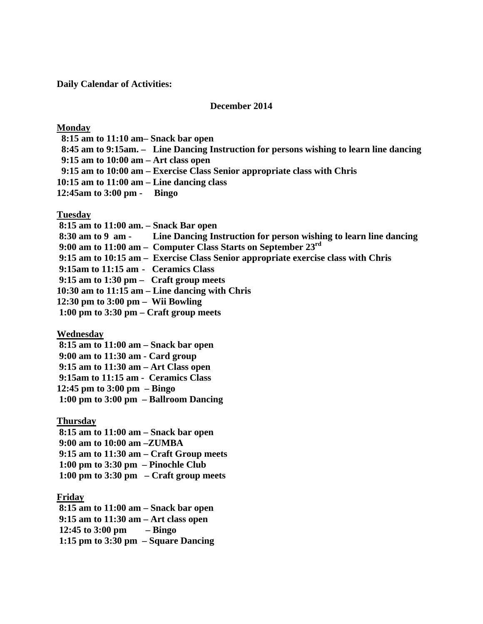**Daily Calendar of Activities:** 

#### **December 2014**

#### **Monday**

 **8:15 am to 11:10 am– Snack bar open 8:45 am to 9:15am. – Line Dancing Instruction for persons wishing to learn line dancing 9:15 am to 10:00 am – Art class open 9:15 am to 10:00 am – Exercise Class Senior appropriate class with Chris 10:15 am to 11:00 am – Line dancing class 12:45am to 3:00 pm - Bingo** 

#### **Tuesday**

 **8:15 am to 11:00 am. – Snack Bar open 8:30 am to 9 am - Line Dancing Instruction for person wishing to learn line dancing 9:00 am to 11:00 am – Computer Class Starts on September 23rd 9:15 am to 10:15 am – Exercise Class Senior appropriate exercise class with Chris 9:15am to 11:15 am - Ceramics Class 9:15 am to 1:30 pm – Craft group meets 10:30 am to 11:15 am – Line dancing with Chris 12:30 pm to 3:00 pm – Wii Bowling** 

 **1:00 pm to 3:30 pm – Craft group meets** 

#### **Wednesday**

 **8:15 am to 11:00 am – Snack bar open 9:00 am to 11:30 am - Card group 9:15 am to 11:30 am – Art Class open 9:15am to 11:15 am - Ceramics Class 12:45 pm to 3:00 pm – Bingo 1:00 pm to 3:00 pm – Ballroom Dancing** 

#### **Thursday**

 **8:15 am to 11:00 am – Snack bar open** 

 **9:00 am to 10:00 am –ZUMBA** 

 **9:15 am to 11:30 am – Craft Group meets** 

 **1:00 pm to 3:30 pm – Pinochle Club** 

 **1:00 pm to 3:30 pm – Craft group meets** 

#### **Friday**

 **8:15 am to 11:00 am – Snack bar open 9:15 am to 11:30 am – Art class open 12:45 to 3:00 pm – Bingo 1:15 pm to 3:30 pm – Square Dancing**